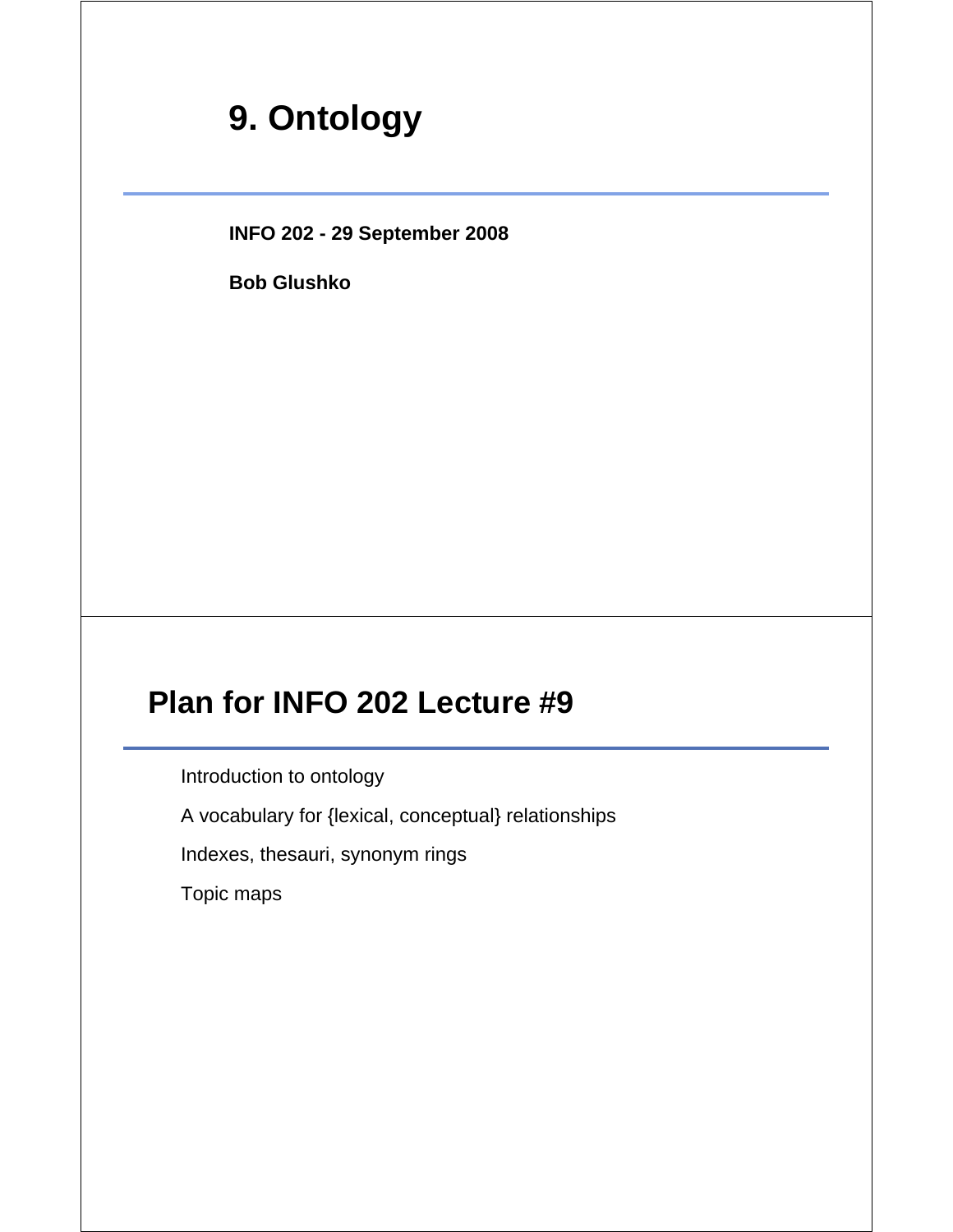# **9. Ontology**

**INFO 202 - 29 September 2008**

**Bob Glushko**

# **Plan for INFO 202 Lecture #9**

Introduction to ontology

A vocabulary for {lexical, conceptual} relationships

Indexes, thesauri, synonym rings

Topic maps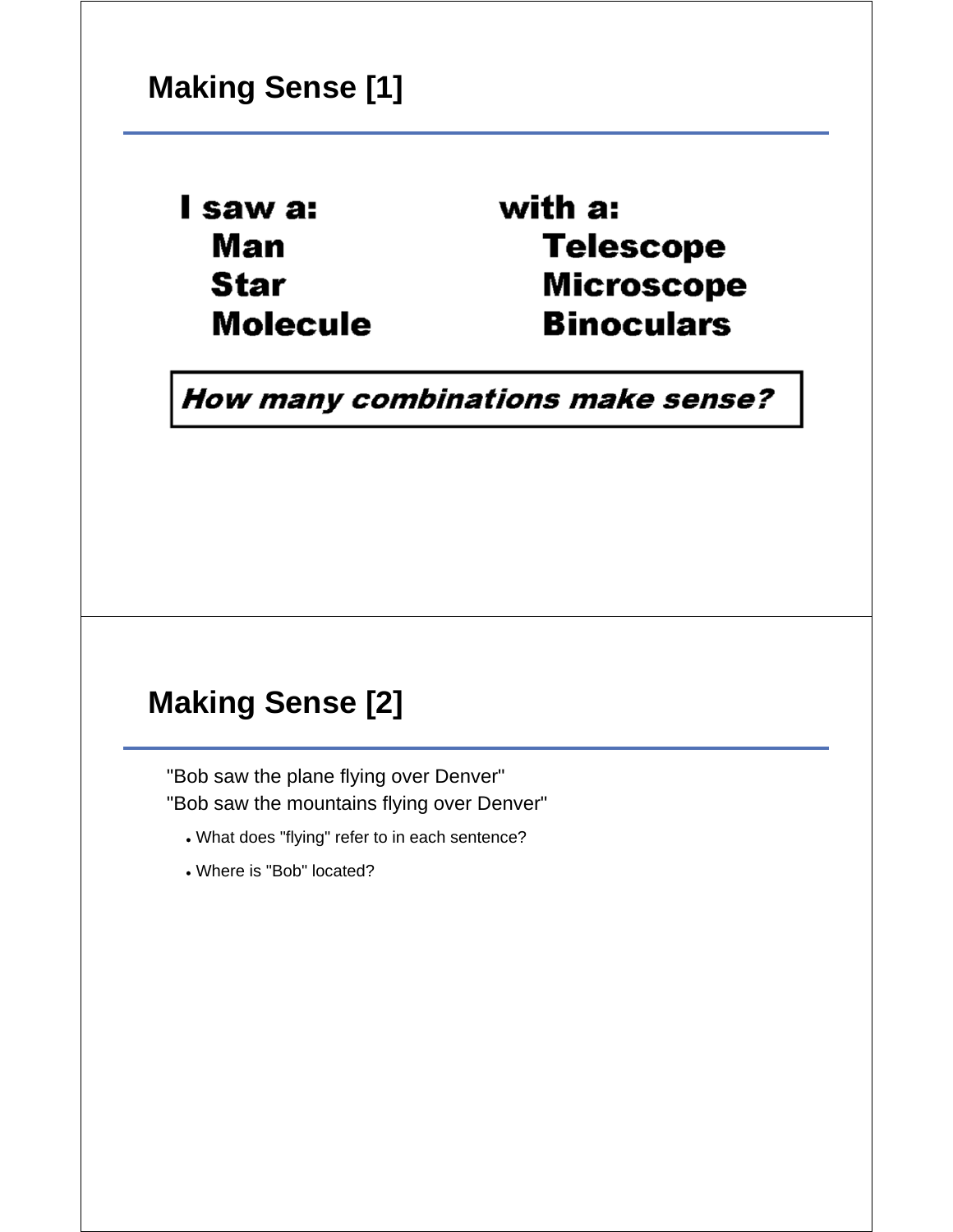I saw a: Man **Star Molecule**  with a: **Telescope Microscope Binoculars** 

How many combinations make sense?

# **Making Sense [2]**

"Bob saw the plane flying over Denver" "Bob saw the mountains flying over Denver"

- What does "flying" refer to in each sentence?
- Where is "Bob" located?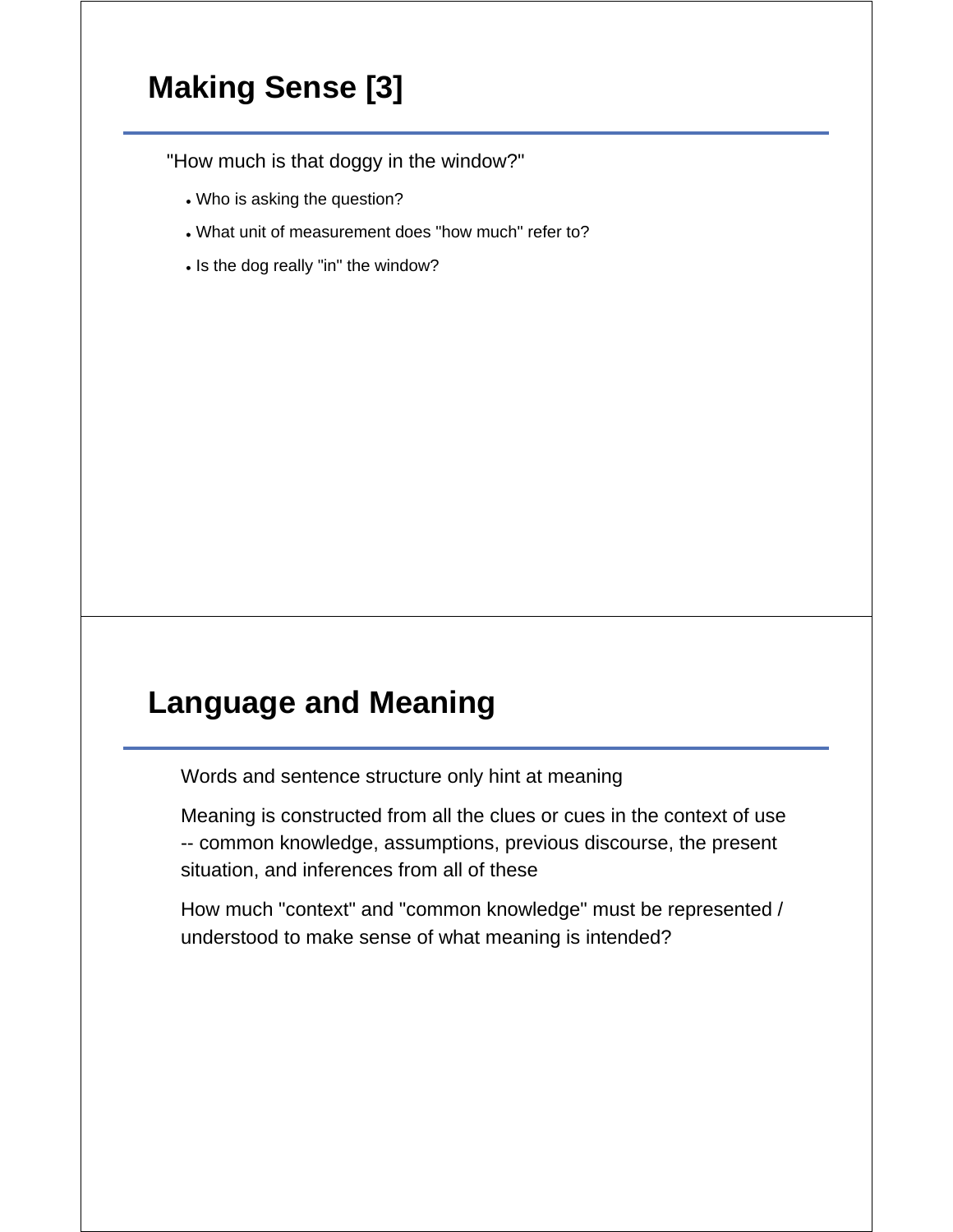# **Making Sense [3]**

"How much is that doggy in the window?"

- Who is asking the question?
- What unit of measurement does "how much" refer to?
- Is the dog really "in" the window?

#### **Language and Meaning**

Words and sentence structure only hint at meaning

Meaning is constructed from all the clues or cues in the context of use -- common knowledge, assumptions, previous discourse, the present situation, and inferences from all of these

How much "context" and "common knowledge" must be represented / understood to make sense of what meaning is intended?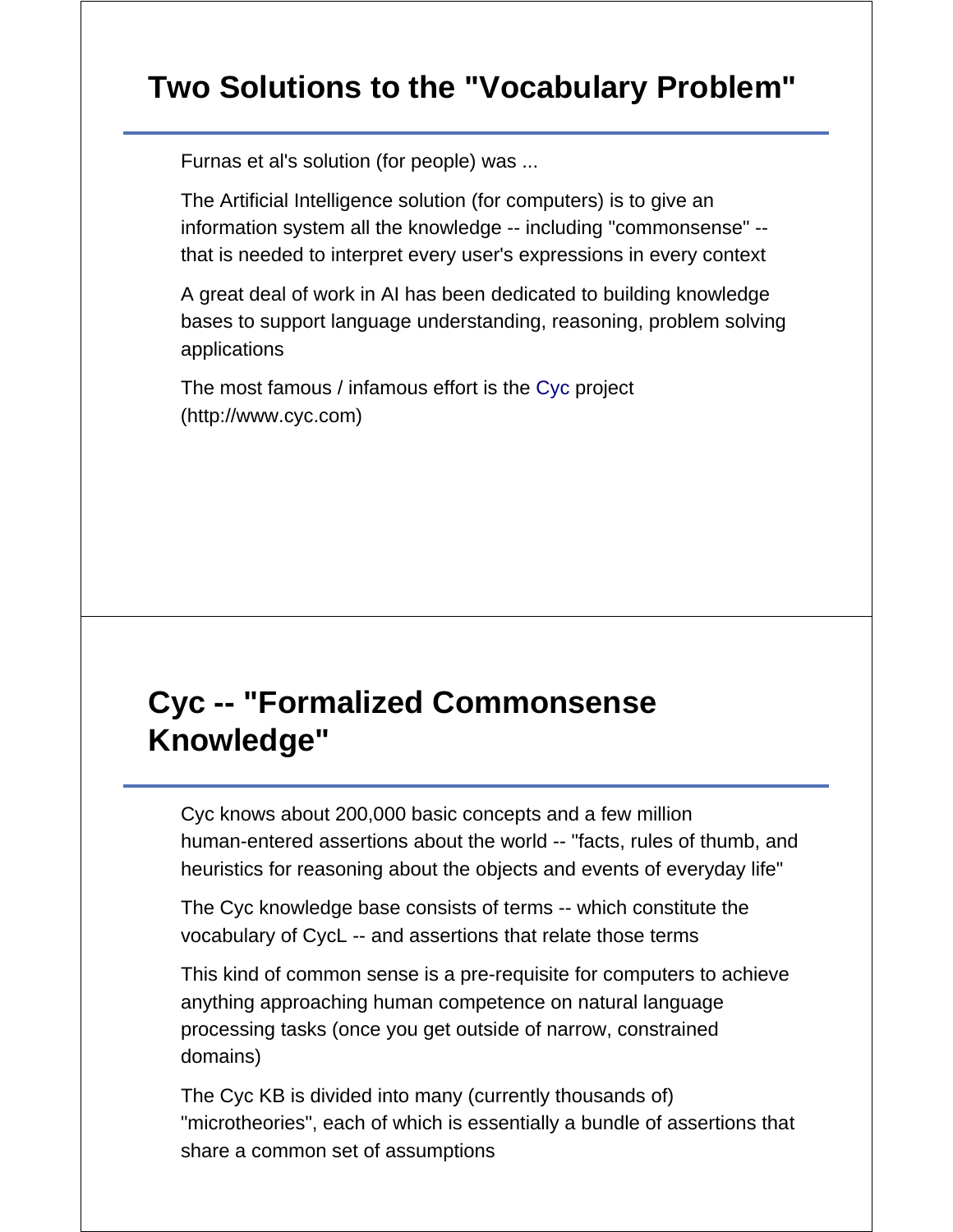# **Two Solutions to the "Vocabulary Problem"**

Furnas et al's solution (for people) was ...

The Artificial Intelligence solution (for computers) is to give an information system all the knowledge -- including "commonsense" - that is needed to interpret every user's expressions in every context

A great deal of work in AI has been dedicated to building knowledge bases to support language understanding, reasoning, problem solving applications

The most famous / infamous effort is the Cyc project (http://www.cyc.com)

# **Cyc -- "Formalized Commonsense Knowledge"**

Cyc knows about 200,000 basic concepts and a few million human-entered assertions about the world -- "facts, rules of thumb, and heuristics for reasoning about the objects and events of everyday life"

The Cyc knowledge base consists of terms -- which constitute the vocabulary of CycL -- and assertions that relate those terms

This kind of common sense is a pre-requisite for computers to achieve anything approaching human competence on natural language processing tasks (once you get outside of narrow, constrained domains)

The Cyc KB is divided into many (currently thousands of) "microtheories", each of which is essentially a bundle of assertions that share a common set of assumptions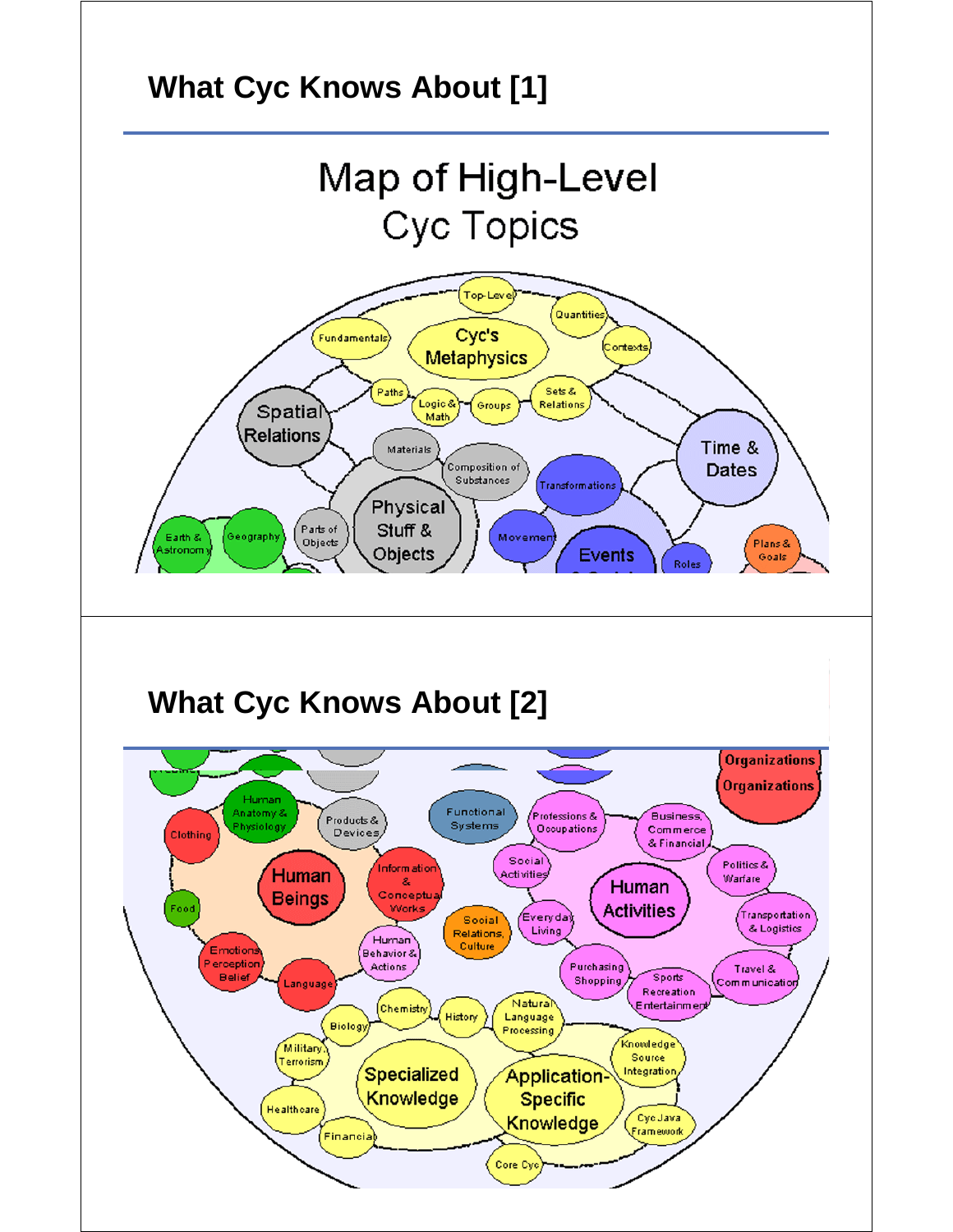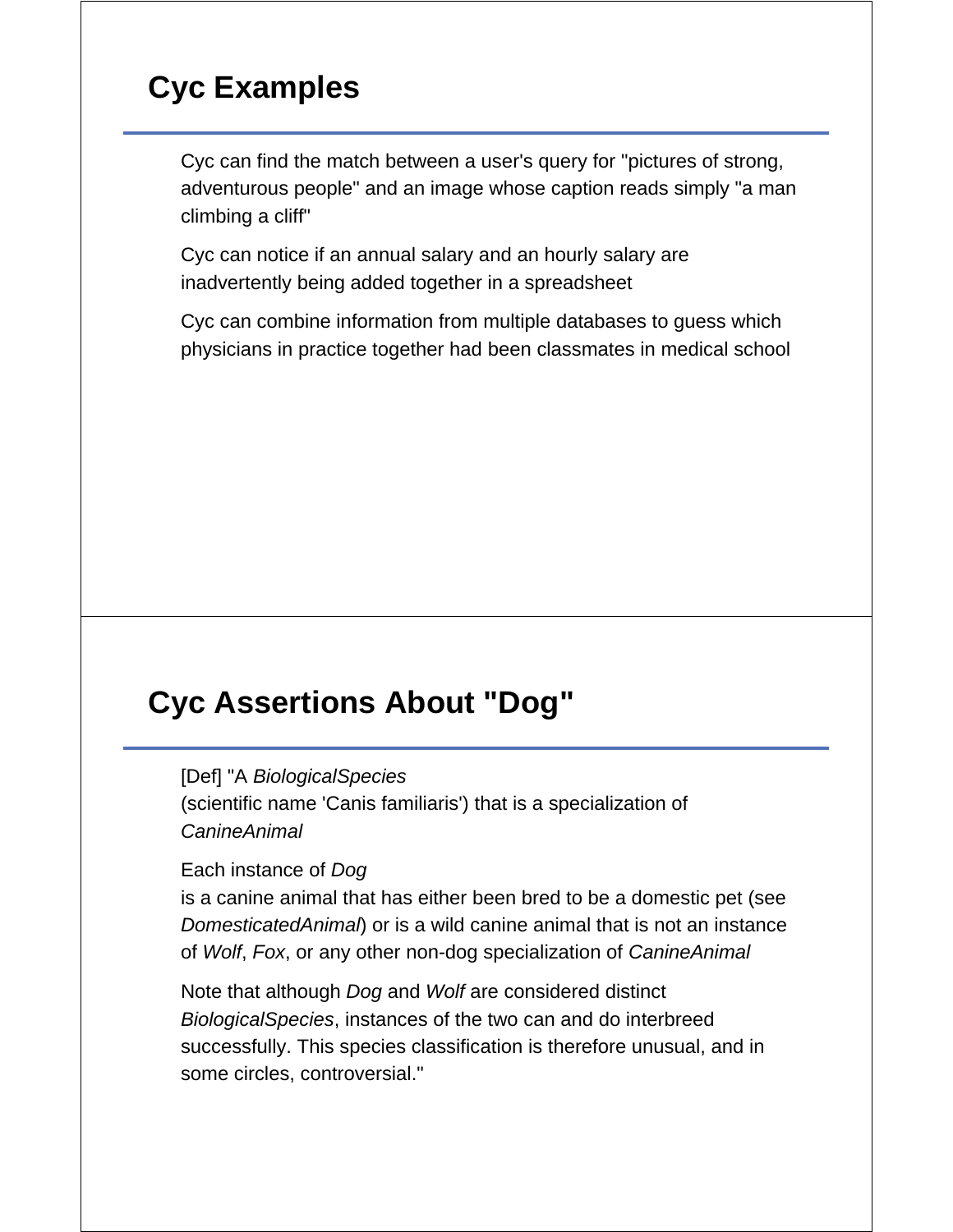# **Cyc Examples**

Cyc can find the match between a user's query for "pictures of strong, adventurous people" and an image whose caption reads simply "a man climbing a cliff"

Cyc can notice if an annual salary and an hourly salary are inadvertently being added together in a spreadsheet

Cyc can combine information from multiple databases to guess which physicians in practice together had been classmates in medical school

# **Cyc Assertions About "Dog"**

[Def] "A *BiologicalSpecies*

(scientific name 'Canis familiaris') that is a specialization of *CanineAnimal*

Each instance of *Dog*

is a canine animal that has either been bred to be a domestic pet (see *DomesticatedAnimal*) or is a wild canine animal that is not an instance of *Wolf*, *Fox*, or any other non-dog specialization of *CanineAnimal*

Note that although *Dog* and *Wolf* are considered distinct *BiologicalSpecies*, instances of the two can and do interbreed successfully. This species classification is therefore unusual, and in some circles, controversial."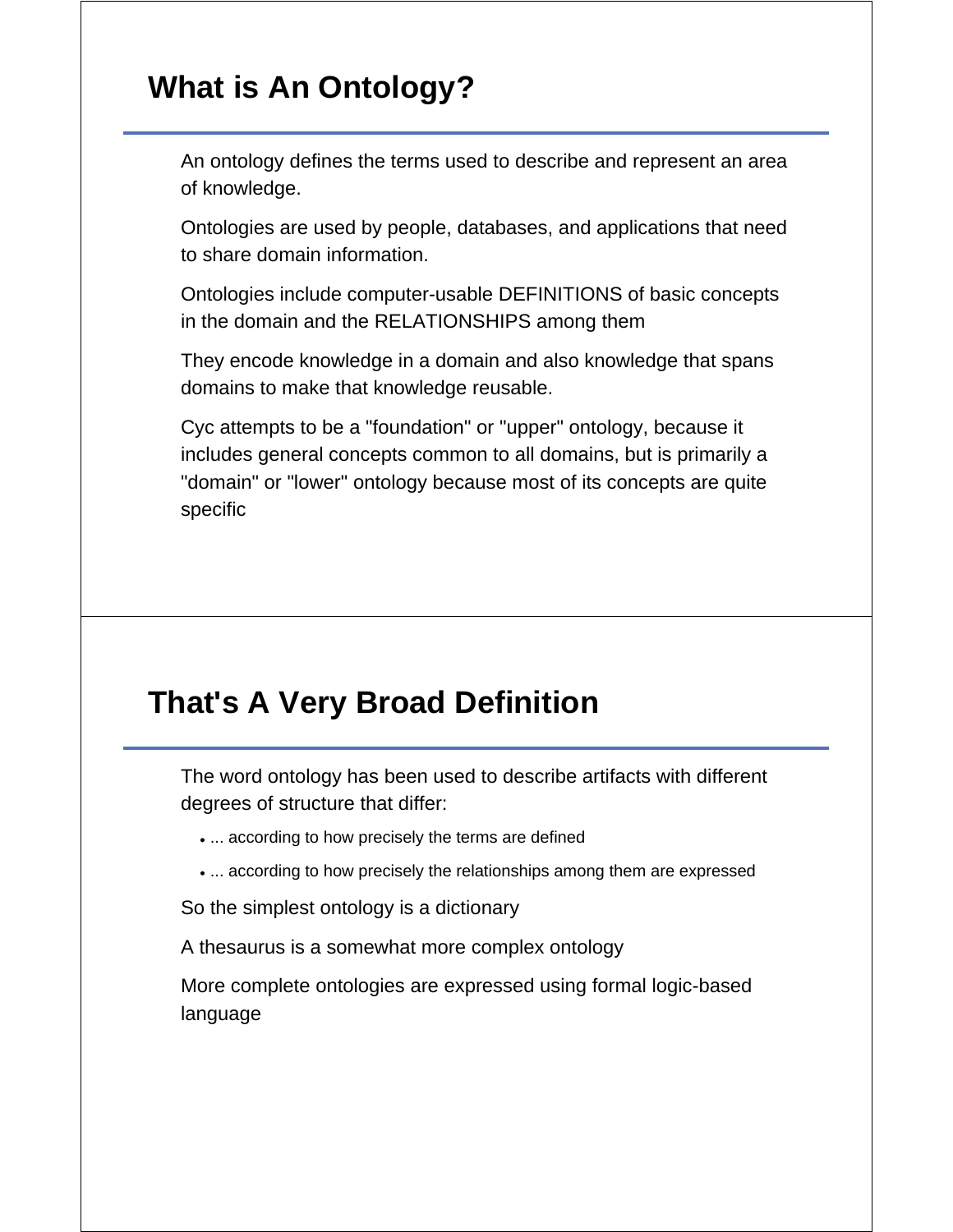# **What is An Ontology?**

An ontology defines the terms used to describe and represent an area of knowledge.

Ontologies are used by people, databases, and applications that need to share domain information.

Ontologies include computer-usable DEFINITIONS of basic concepts in the domain and the RELATIONSHIPS among them

They encode knowledge in a domain and also knowledge that spans domains to make that knowledge reusable.

Cyc attempts to be a "foundation" or "upper" ontology, because it includes general concepts common to all domains, but is primarily a "domain" or "lower" ontology because most of its concepts are quite specific

# **That's A Very Broad Definition**

The word ontology has been used to describe artifacts with different degrees of structure that differ:

- ... according to how precisely the terms are defined
- ... according to how precisely the relationships among them are expressed

So the simplest ontology is a dictionary

A thesaurus is a somewhat more complex ontology

More complete ontologies are expressed using formal logic-based language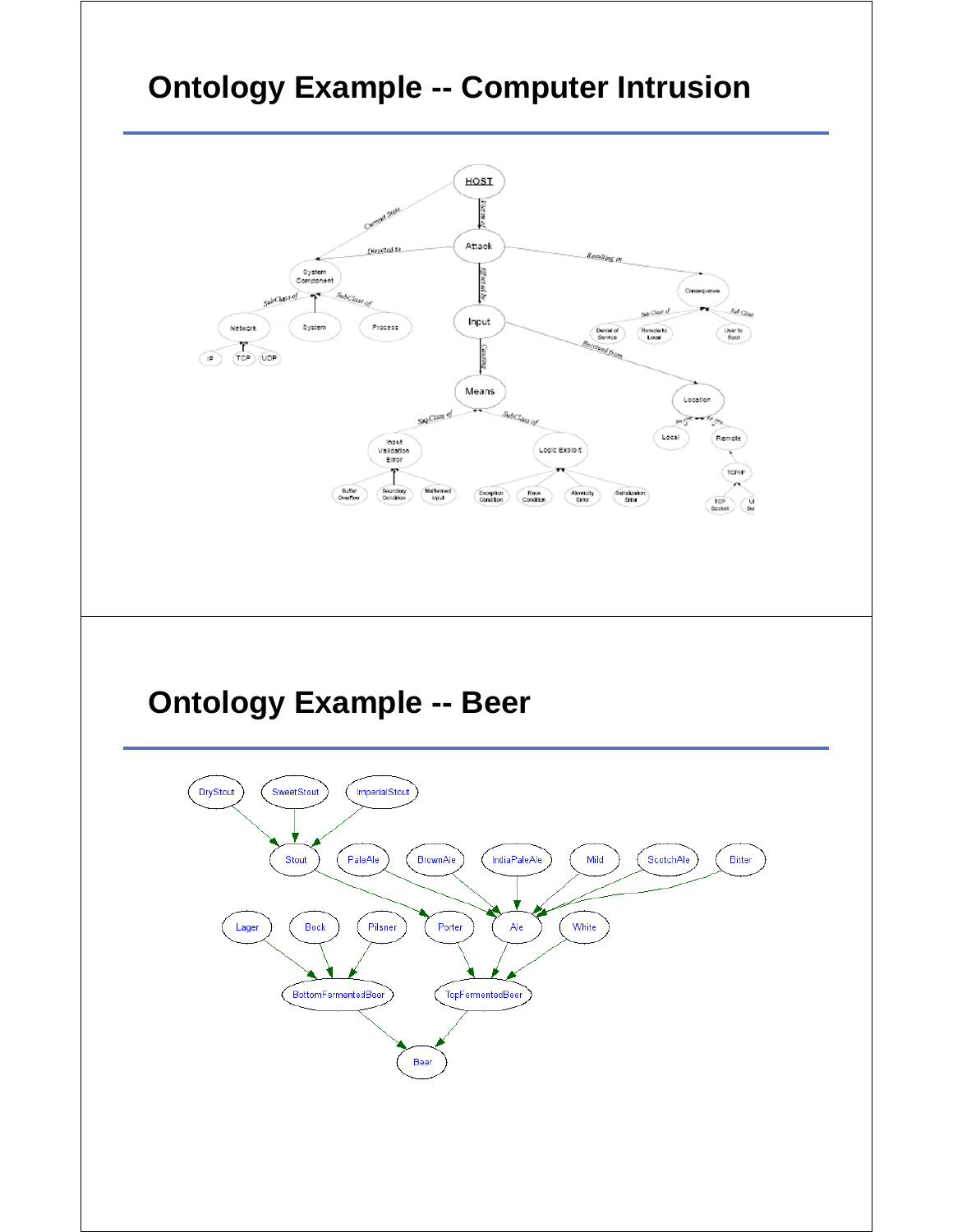# **Ontology Example -- Computer Intrusion**

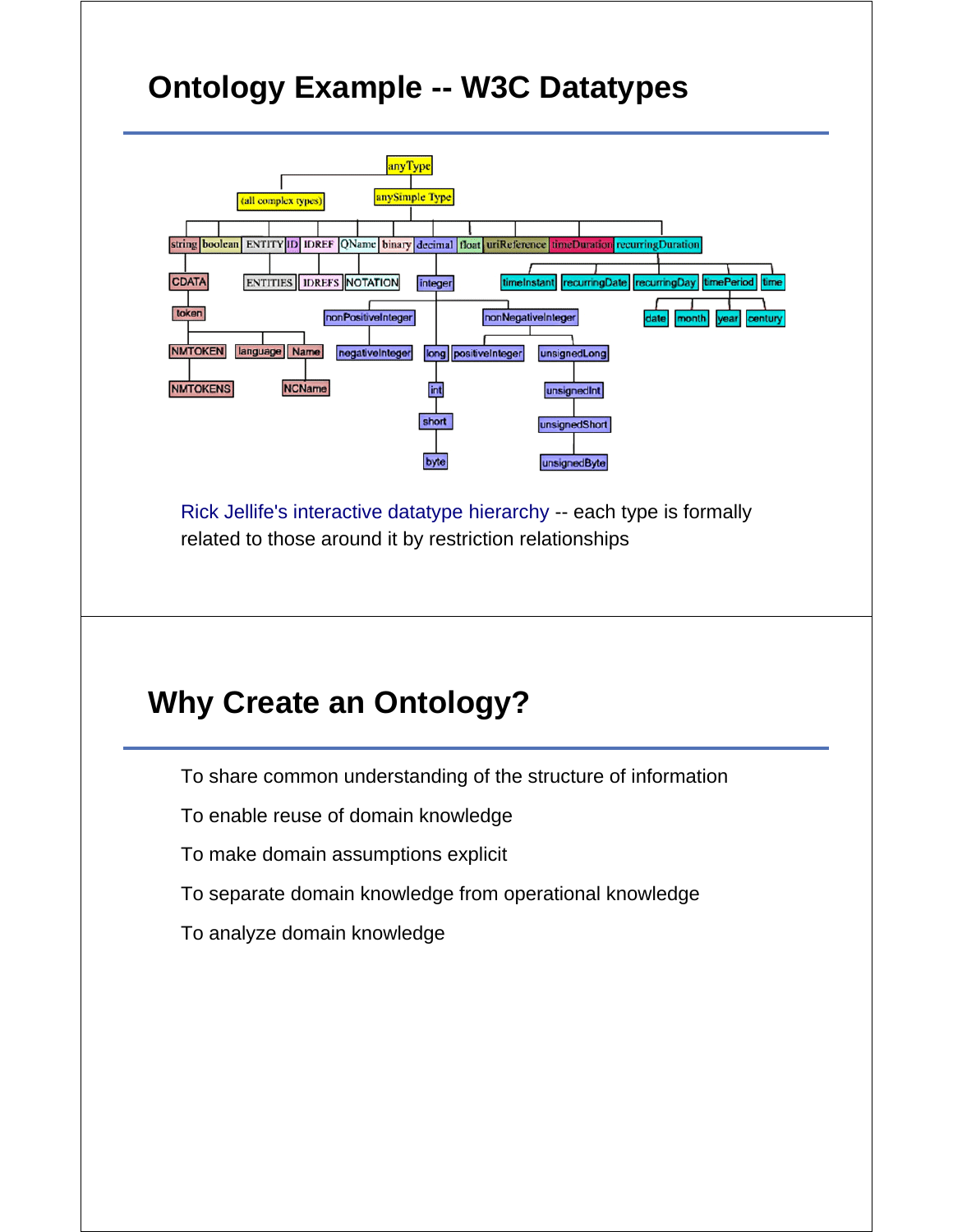# **Ontology Example -- W3C Datatypes**



Rick Jellife's interactive datatype hierarchy -- each type is formally related to those around it by restriction relationships

# **Why Create an Ontology?**

To share common understanding of the structure of information

To enable reuse of domain knowledge

To make domain assumptions explicit

To separate domain knowledge from operational knowledge

To analyze domain knowledge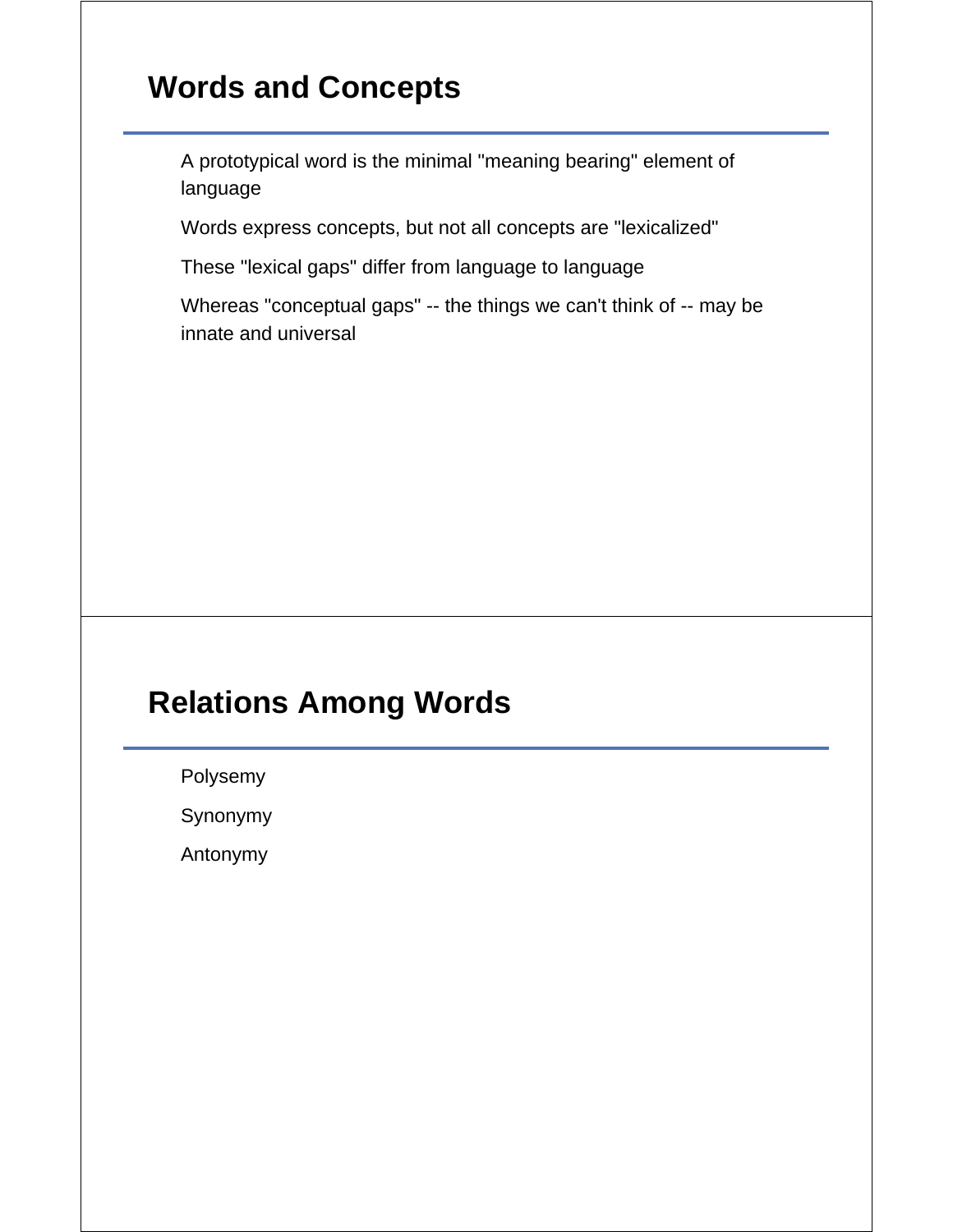# **Words and Concepts**

A prototypical word is the minimal "meaning bearing" element of language

Words express concepts, but not all concepts are "lexicalized"

These "lexical gaps" differ from language to language

Whereas "conceptual gaps" -- the things we can't think of -- may be innate and universal

# **Relations Among Words**

Polysemy

Synonymy

Antonymy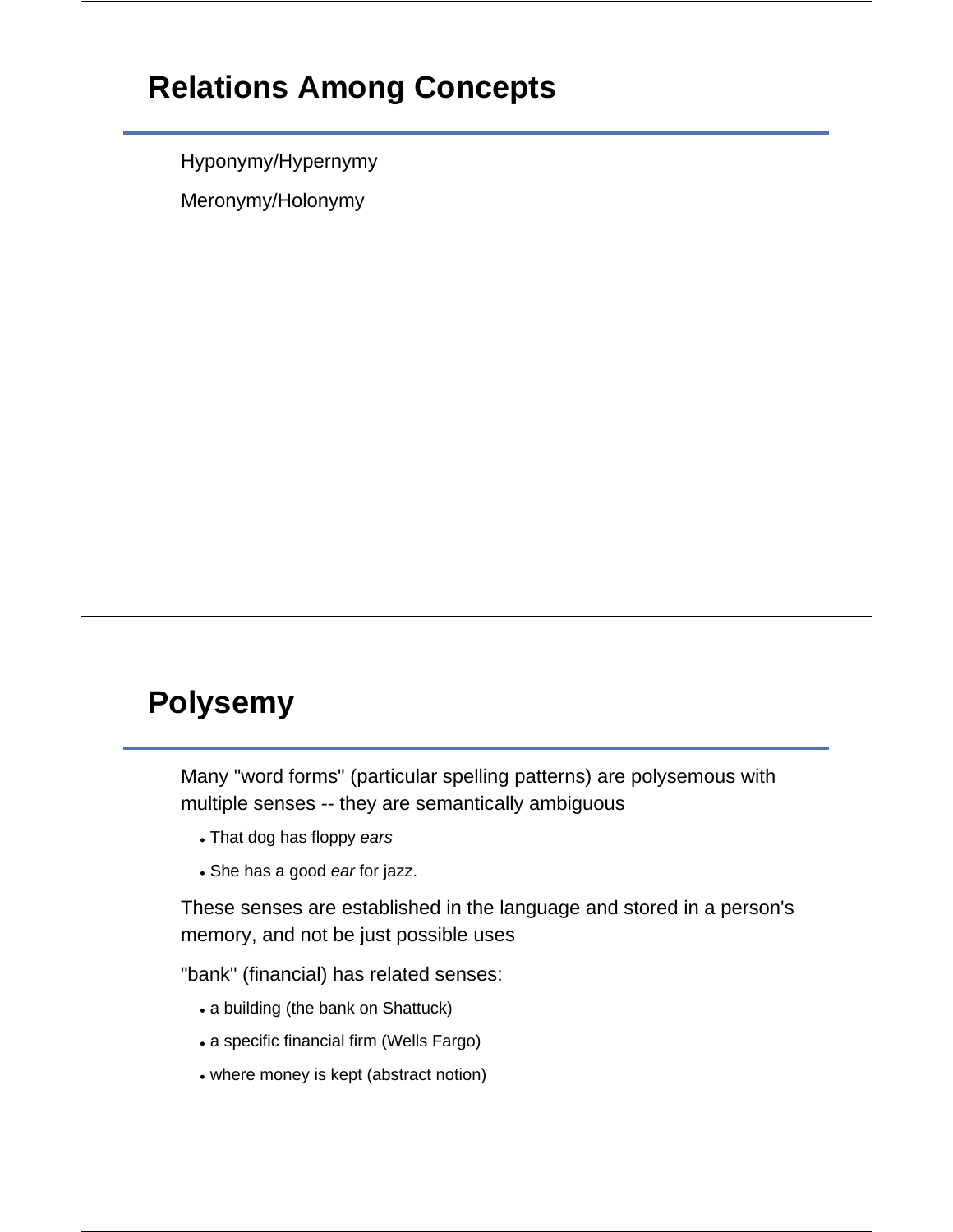# **Relations Among Concepts**

Hyponymy/Hypernymy

Meronymy/Holonymy

# **Polysemy**

Many "word forms" (particular spelling patterns) are polysemous with multiple senses -- they are semantically ambiguous

- That dog has floppy *ears*
- She has a good *ear* for jazz.

These senses are established in the language and stored in a person's memory, and not be just possible uses

"bank" (financial) has related senses:

- a building (the bank on Shattuck)
- a specific financial firm (Wells Fargo)
- where money is kept (abstract notion)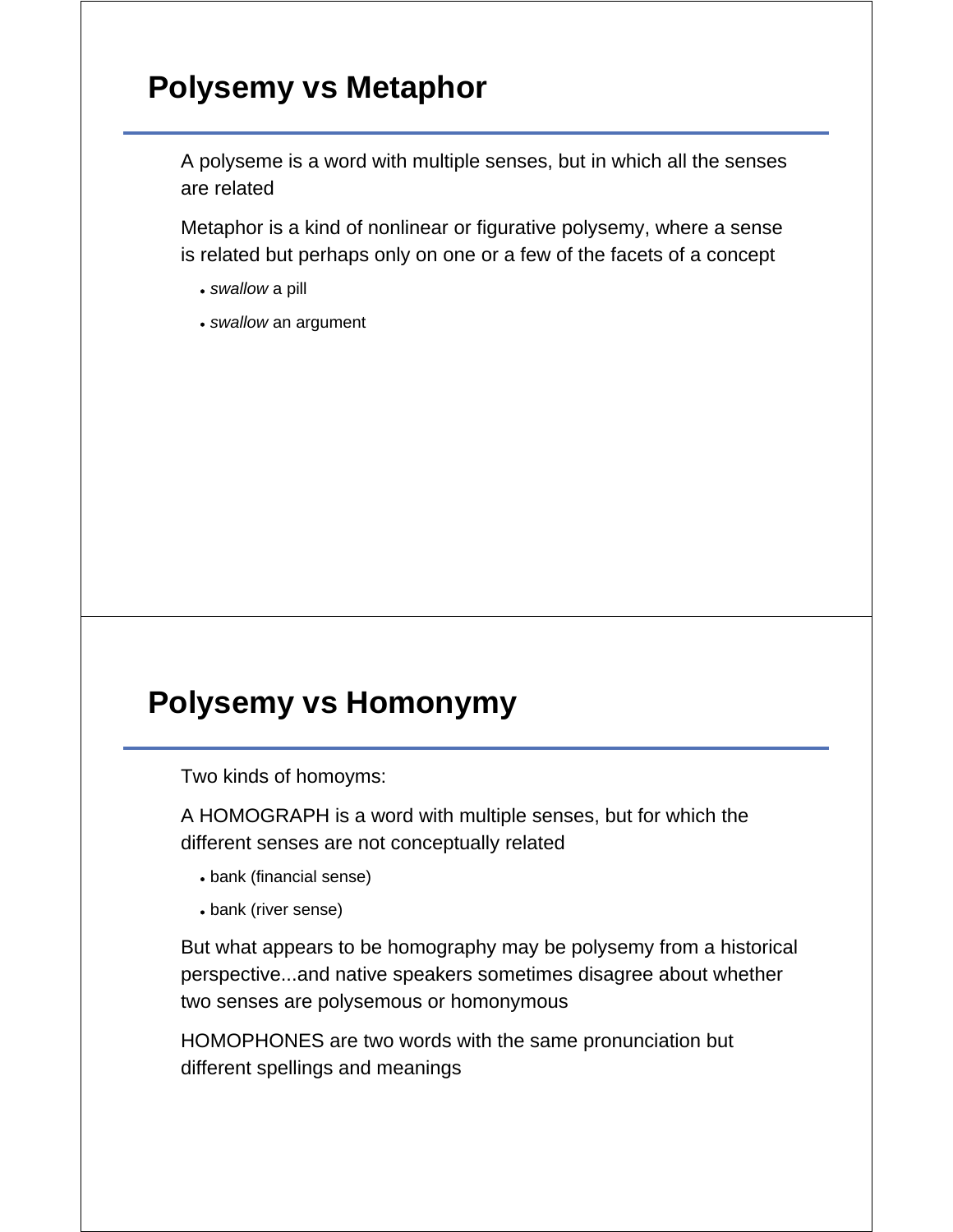# **Polysemy vs Metaphor**

A polyseme is a word with multiple senses, but in which all the senses are related

Metaphor is a kind of nonlinear or figurative polysemy, where a sense is related but perhaps only on one or a few of the facets of a concept

- *swallow* a pill
- *swallow* an argument

#### **Polysemy vs Homonymy**

Two kinds of homoyms:

A HOMOGRAPH is a word with multiple senses, but for which the different senses are not conceptually related

- bank (financial sense)
- bank (river sense)

But what appears to be homography may be polysemy from a historical perspective...and native speakers sometimes disagree about whether two senses are polysemous or homonymous

HOMOPHONES are two words with the same pronunciation but different spellings and meanings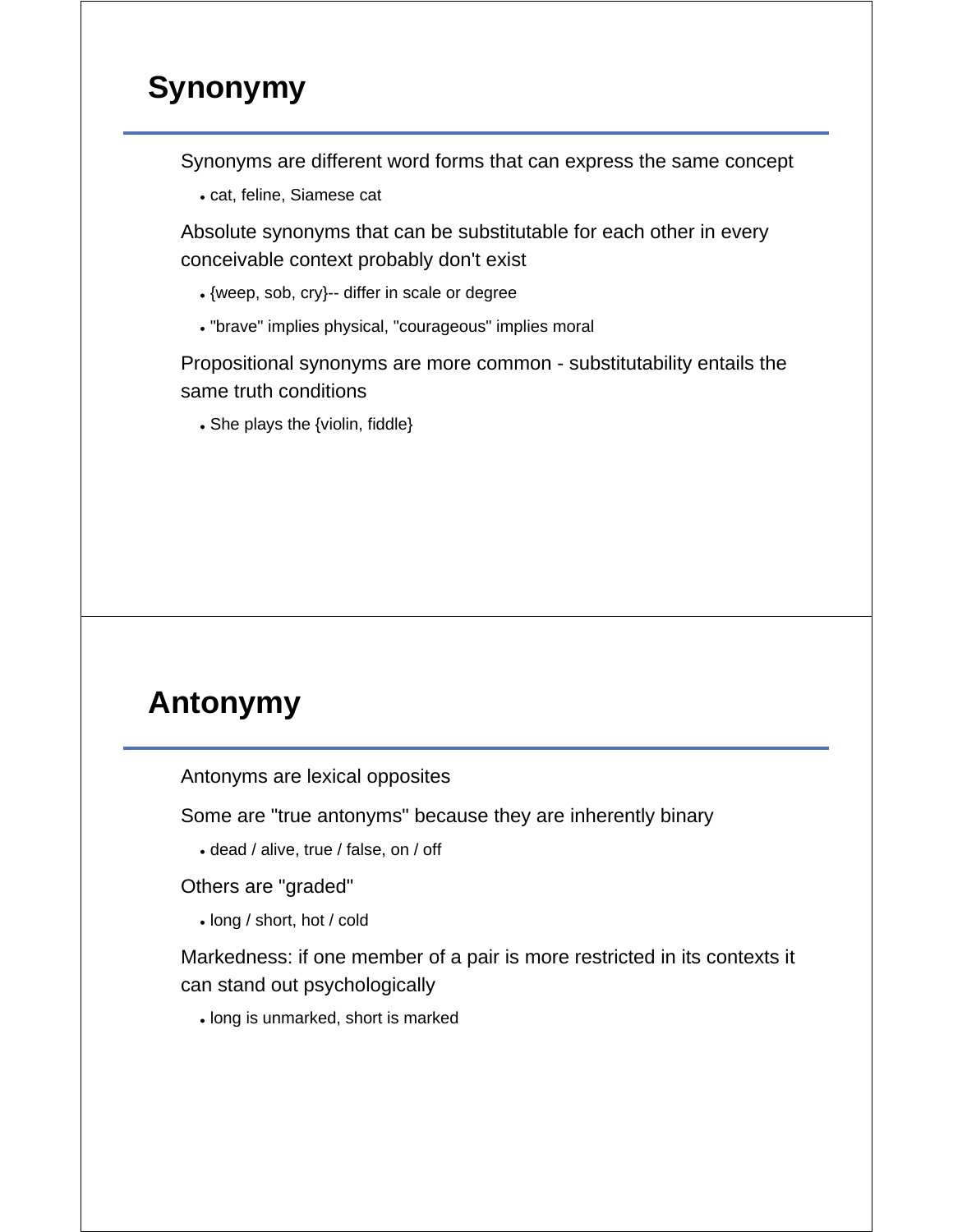# **Synonymy**

Synonyms are different word forms that can express the same concept

cat, feline, Siamese cat

Absolute synonyms that can be substitutable for each other in every conceivable context probably don't exist

- {weep, sob, cry}-- differ in scale or degree
- "brave" implies physical, "courageous" implies moral

Propositional synonyms are more common - substitutability entails the same truth conditions

• She plays the {violin, fiddle}

# **Antonymy**

Antonyms are lexical opposites

Some are "true antonyms" because they are inherently binary

dead / alive, true / false, on / off

Others are "graded"

long / short, hot / cold

Markedness: if one member of a pair is more restricted in its contexts it can stand out psychologically

long is unmarked, short is marked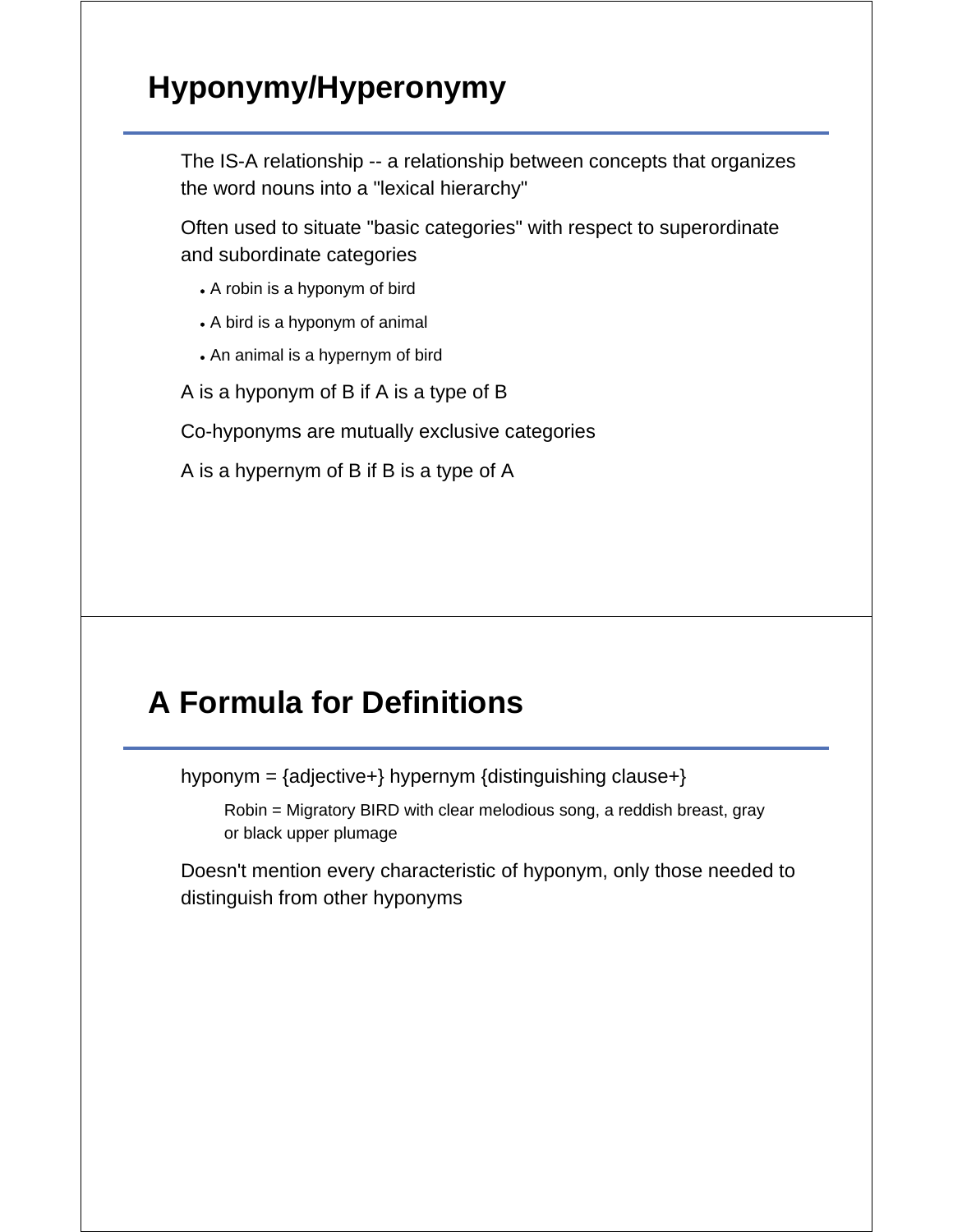# **Hyponymy/Hyperonymy**

The IS-A relationship -- a relationship between concepts that organizes the word nouns into a "lexical hierarchy"

Often used to situate "basic categories" with respect to superordinate and subordinate categories

- A robin is a hyponym of bird
- A bird is a hyponym of animal
- An animal is a hypernym of bird

A is a hyponym of B if A is a type of B

Co-hyponyms are mutually exclusive categories

A is a hypernym of B if B is a type of A

# **A Formula for Definitions**

hyponym = {adjective+} hypernym {distinguishing clause+}

Robin = Migratory BIRD with clear melodious song, a reddish breast, gray or black upper plumage

Doesn't mention every characteristic of hyponym, only those needed to distinguish from other hyponyms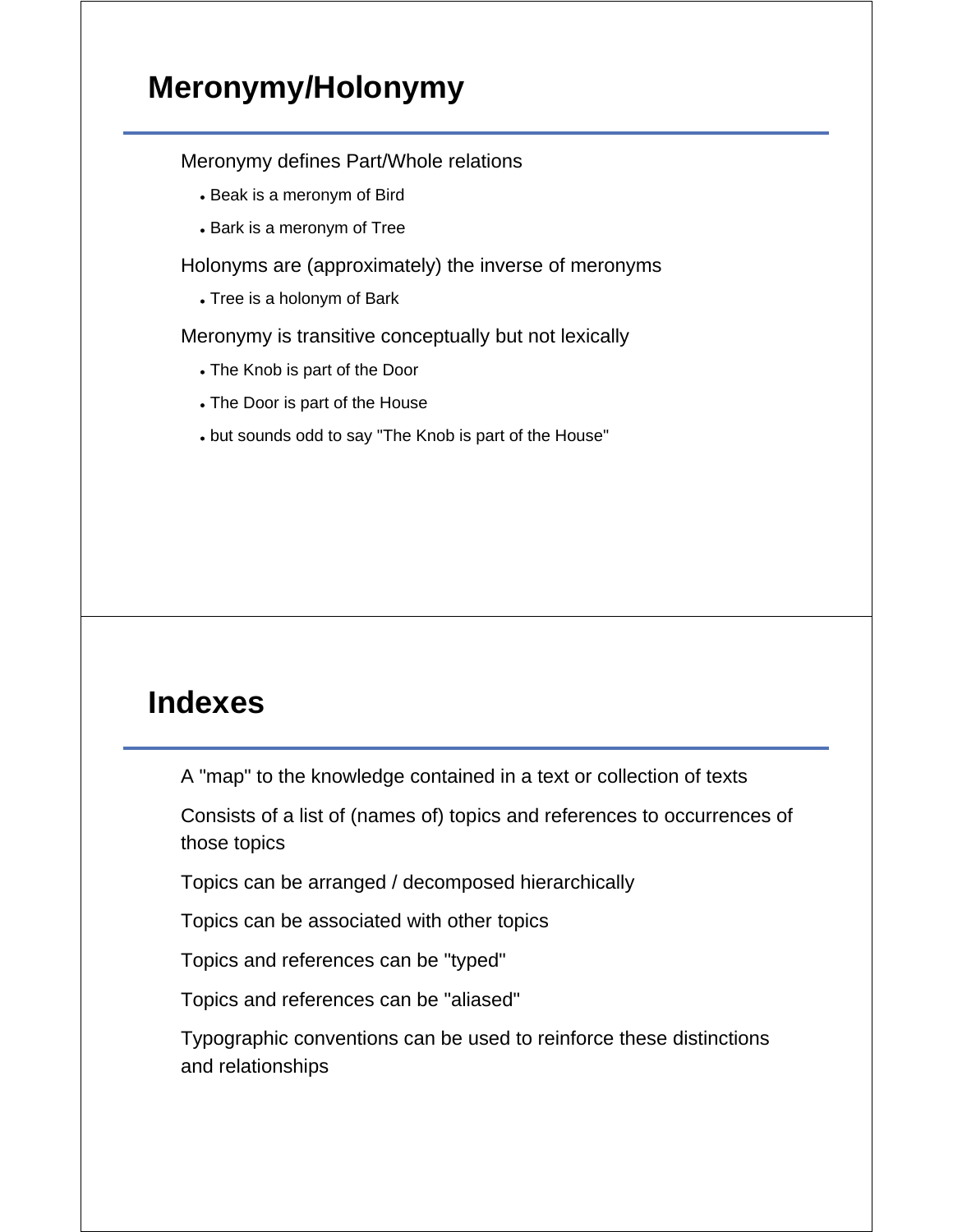# **Meronymy/Holonymy**

#### Meronymy defines Part/Whole relations

- Beak is a meronym of Bird
- Bark is a meronym of Tree

Holonyms are (approximately) the inverse of meronyms

Tree is a holonym of Bark

Meronymy is transitive conceptually but not lexically

- The Knob is part of the Door
- The Door is part of the House
- but sounds odd to say "The Knob is part of the House"

#### **Indexes**

A "map" to the knowledge contained in a text or collection of texts

Consists of a list of (names of) topics and references to occurrences of those topics

Topics can be arranged / decomposed hierarchically

Topics can be associated with other topics

Topics and references can be "typed"

Topics and references can be "aliased"

Typographic conventions can be used to reinforce these distinctions and relationships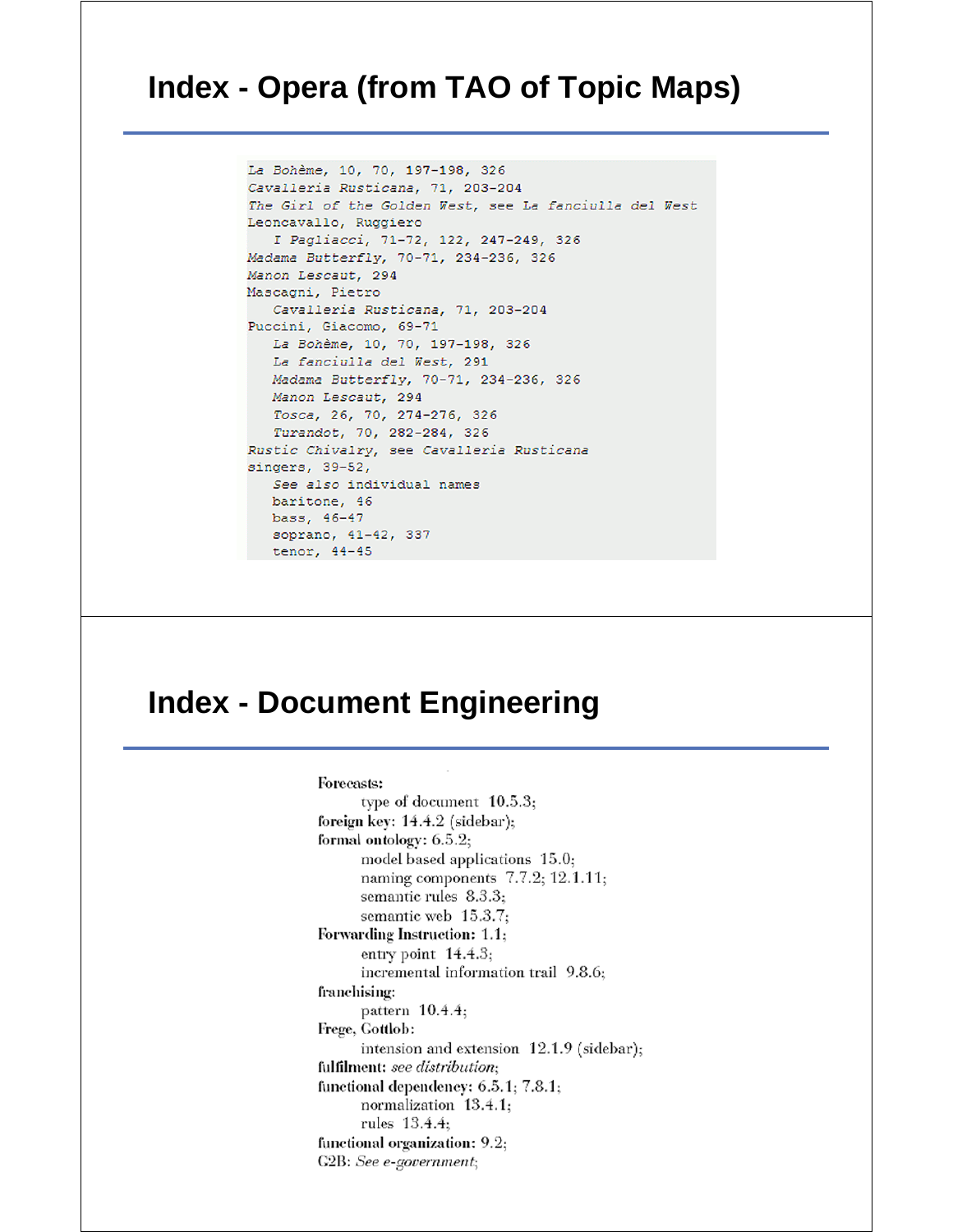#### **Index - Opera (from TAO of Topic Maps)**

```
La Bohème, 10, 70, 197-198, 326
Cavalleria Rusticana, 71, 203-204
The Girl of the Golden West, see La fanciulla del West
Leoncavallo, Ruggiero
   I Pagliacci, 71-72, 122, 247-249, 326
Madama Butterfly, 70-71, 234-236, 326
Manon Lescaut, 294
Mascagni, Pietro
  Cavalleria Rusticana, 71, 203-204
Puccini, Giacomo, 69-71
  La Bohème, 10, 70, 197-198, 326
  La fanciulla del West, 291
  Madama Butterfly, 70-71, 234-236, 326
  Manon Lescaut, 294
  Tosca, 26, 70, 274-276, 326
  Turandot, 70, 282-284, 326
Rustic Chivalry, see Cavalleria Rusticana
singers, 39-52,
  See also individual names
  baritone, 46
  bass, 46-47
  soprano, 41-42, 337
 tenor, 44-45
```
#### **Index - Document Engineering**

Forecasts: type of document 10.5.3; foreign key: 14.4.2 (sidebar); formal ontology:  $6.5.2$ ; model based applications 15.0; naming components  $7.7.2$ ; 12.1.11; semantic rules 8.3.3; semantic web 15.3.7; Forwarding Instruction: 1.1; entry point  $14.4.3$ ; incremental information trail 9.8.6; franchising: pattern 10.4.4; Frege, Gottlob: intension and extension 12.1.9 (sidebar); fulfilment: see distribution; functional dependency: 6.5.1; 7.8.1; normalization 13.4.1; rules 13.4.4; functional organization: 9.2; G2B: See e-government;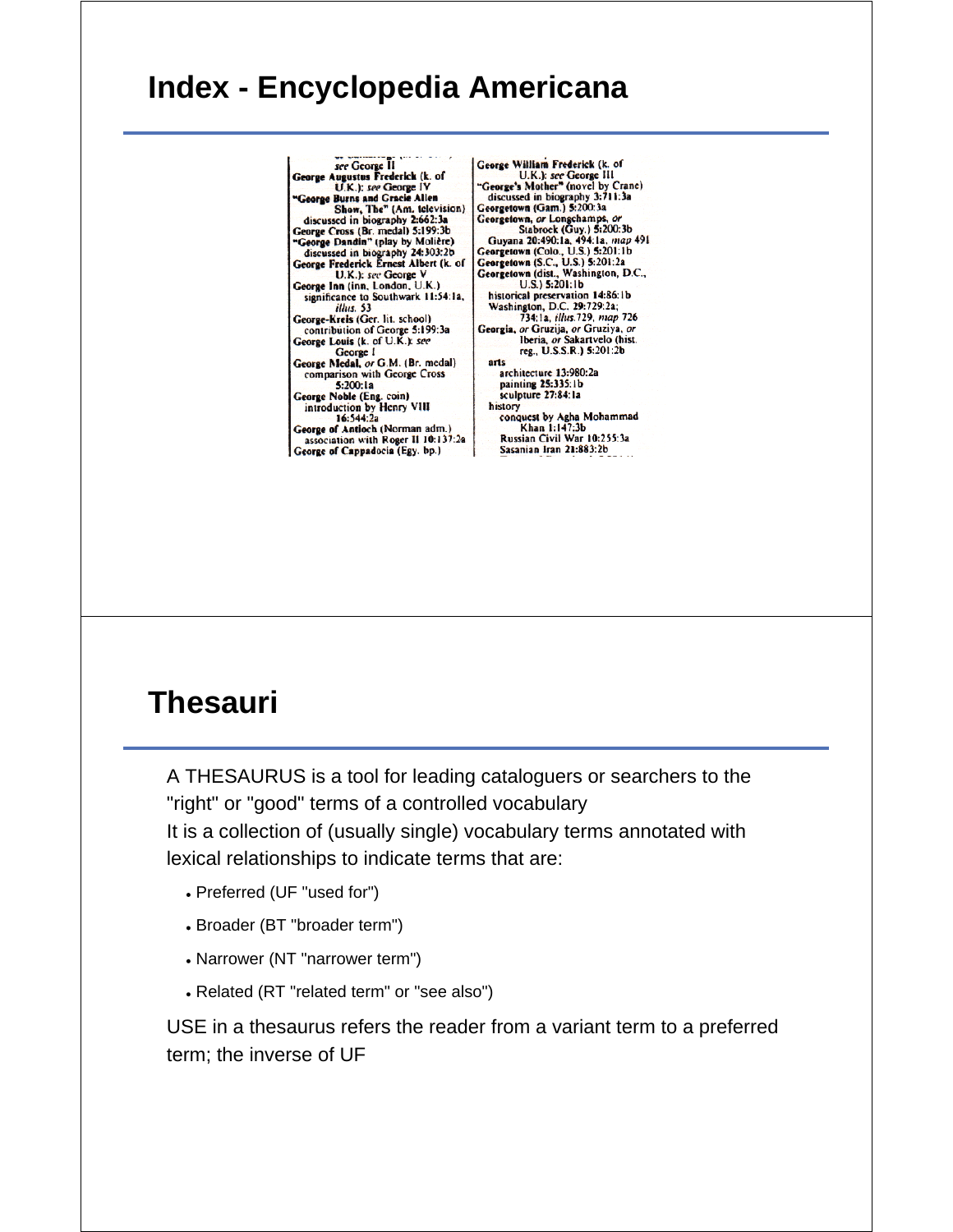#### **Index - Encyclopedia Americana**

see George II<br>George Augustus Frederick (k. of<br>U.K.): see George IV<br>"George Burns and Gracie Allen Show, The" (Am. television)<br>discussed in biography 2:662:3a<br>George Cross (Br. medal) 5:199:3b George Dandin" (play by Molière)<br>discussed in biography 24:303:2b<br>George Frederick Ernest Albert (k. of George Freedrick Ernest Albert (k. or<br>George Inn (inn, London, U.K.)<br>Significance to Southwark 11:54:1a,<br>illus. 53<br>Constitution of the Southwark 11:54:1a, George-Kreis (Ger. lit. school)<br>contribution of George 5:199:3a<br>George Louis (k. of U.K.): see George 1 George Medal, or G.M. (Br. medal)<br>comparison with George Cross  $5:200:1a$ George Noble (Eng. coin)<br>introduction by Henry VIII 16:544:2a George of Antioch (Norman adm.)<br>association with Roger II 10:137:2a George of Cappadocia (Egy. bp.)

George William Frederick (k. of George William Frederick (k. of<br>
U.K.): see George III<br>
"George's Mother" (novel by Crane)<br>
discussed in biography 3:711:3a<br>
Georgetown (Gam.) 5:200:3a<br>
Georgetown, or Longchams, or<br>
Stabrock (Guy.) 5:200:3b<br>
Guyana 20:49 historical preservation 14:86:1b Washington, D.C. 29:729:2a;<br>734:1a, illus.729, map 726 Georgia, or Gruzija, or Gruziya, or<br>Iberia, or Sakartvelo (hist.<br>reg., U.S.S.R.) 5:201:2b arts architecture 13:980:2a

painting 25:335:1b<br>sculpture 27:84:1a history conquest by Agha Mohammad<br>Khan 1:147:3b Russian Civil War 10:255:3a Sasanian Iran 21:883:2b

#### **Thesauri**

A THESAURUS is a tool for leading cataloguers or searchers to the "right" or "good" terms of a controlled vocabulary It is a collection of (usually single) vocabulary terms annotated with lexical relationships to indicate terms that are:

- Preferred (UF "used for")
- Broader (BT "broader term")
- Narrower (NT "narrower term")
- Related (RT "related term" or "see also")

USE in a thesaurus refers the reader from a variant term to a preferred term; the inverse of UF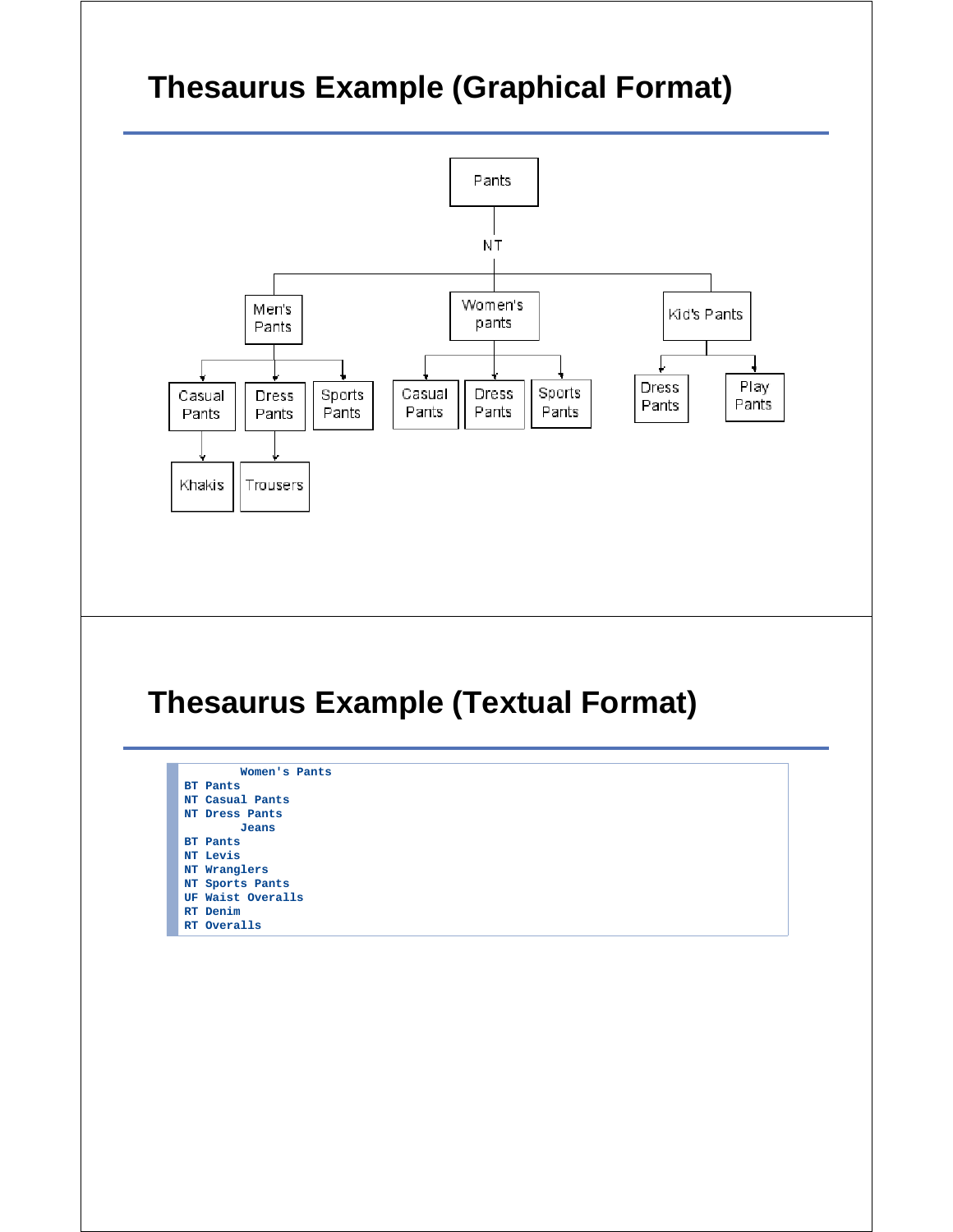# **Thesaurus Example (Graphical Format)**

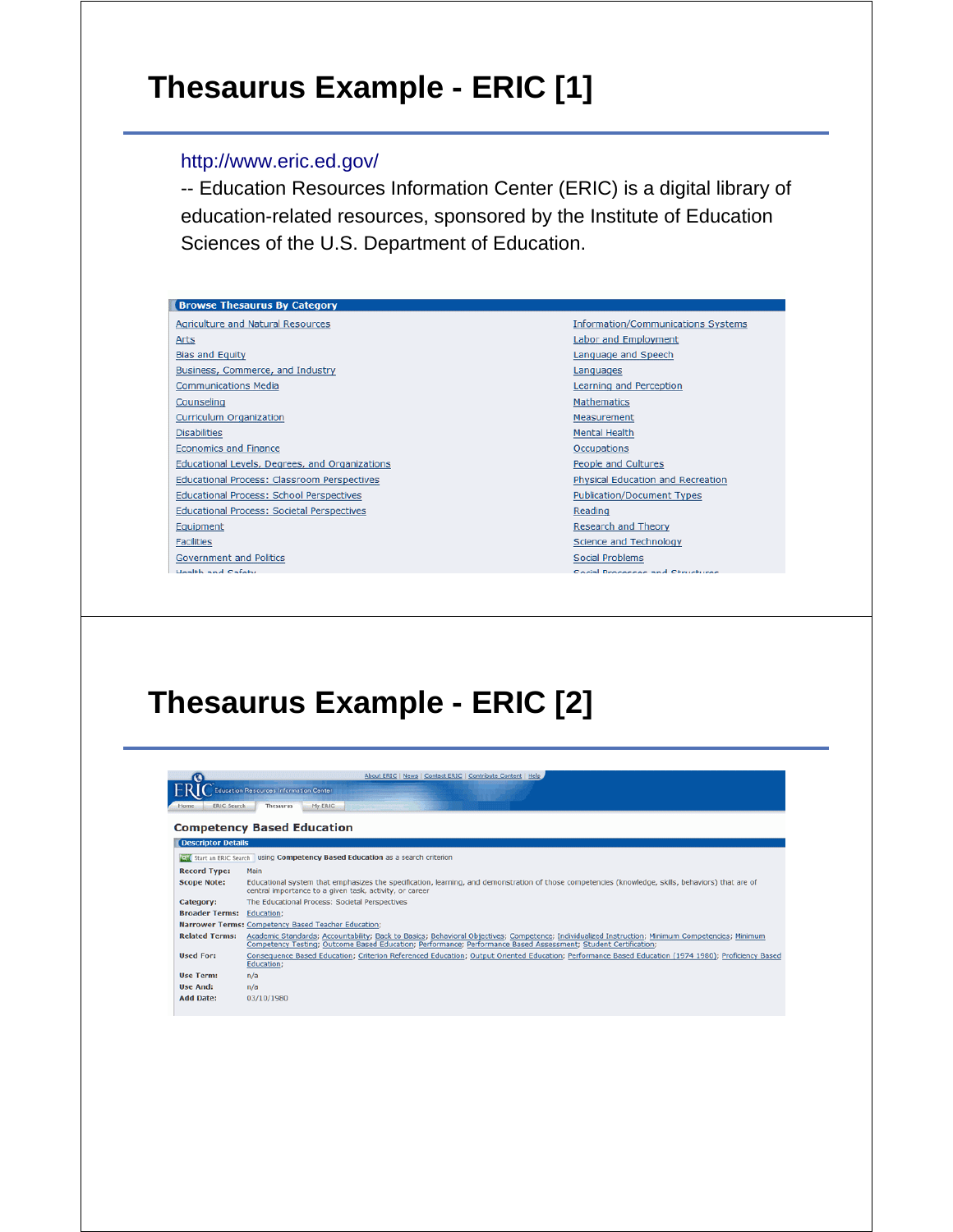# **Thesaurus Example - ERIC [1]**

#### http://www.eric.ed.gov/

-- Education Resources Information Center (ERIC) is a digital library of education-related resources, sponsored by the Institute of Education Sciences of the U.S. Department of Education.

| <b>Browse Thesaurus By Category</b>                |                                           |
|----------------------------------------------------|-------------------------------------------|
| Agriculture and Natural Resources                  | <b>Information/Communications Systems</b> |
| Arts                                               | Labor and Employment                      |
| <b>Bias and Equity</b>                             | Language and Speech                       |
| Business, Commerce, and Industry                   | Languages                                 |
| <b>Communications Media</b>                        | Learning and Perception                   |
| Counseling                                         | <b>Mathematics</b>                        |
| <b>Curriculum Organization</b>                     | Measurement                               |
| <b>Disabilities</b>                                | <b>Mental Health</b>                      |
| <b>Economics and Finance</b>                       | <b>Occupations</b>                        |
| Educational Levels, Degrees, and Organizations     | People and Cultures                       |
| <b>Educational Process: Classroom Perspectives</b> | <b>Physical Education and Recreation</b>  |
| <b>Educational Process: School Perspectives</b>    | <b>Publication/Document Types</b>         |
| <b>Educational Process: Societal Perspectives</b>  | Reading                                   |
| Equipment                                          | Research and Theory                       |
| <b>Facilities</b>                                  | Science and Technology                    |
| Government and Politics                            | Social Problems                           |
| Hoalth and Cafety                                  | Cocial Drococcoc and Chrushupon           |

# **Thesaurus Example - ERIC [2]**

| Ю                          | About ERIC   News   Contact ERIC   Contribute Content   Help                                                                                                                                                                                                       |
|----------------------------|--------------------------------------------------------------------------------------------------------------------------------------------------------------------------------------------------------------------------------------------------------------------|
|                            | <b>Education Resources Information Center</b>                                                                                                                                                                                                                      |
|                            |                                                                                                                                                                                                                                                                    |
| <b>ERIC Search</b><br>Home | Thesaurus<br>My ERIC                                                                                                                                                                                                                                               |
|                            | <b>Competency Based Education</b>                                                                                                                                                                                                                                  |
|                            |                                                                                                                                                                                                                                                                    |
| <b>Descriptor Details</b>  |                                                                                                                                                                                                                                                                    |
|                            | Start an ERIC Search Using Competency Based Education as a search criterion                                                                                                                                                                                        |
| <b>Record Type:</b>        | Main                                                                                                                                                                                                                                                               |
| <b>Scope Note:</b>         | Educational system that emphasizes the specification, learning, and demonstration of those competencies (knowledge, skills, behaviors) that are of<br>central importance to a given task, activity, or career                                                      |
| Category:                  | The Educational Process: Societal Perspectives                                                                                                                                                                                                                     |
| <b>Broader Terms:</b>      | Education;                                                                                                                                                                                                                                                         |
|                            | Narrower Terms: Competency Based Teacher Education:                                                                                                                                                                                                                |
| <b>Related Terms:</b>      | Academic Standards; Accountability; Back to Basics; Behavioral Objectives; Competence; Individualized Instruction; Minimum Competencies; Minimum<br>Competency Testing; Outcome Based Education; Performance; Performance Based Assessment; Student Certification; |
| <b>Used For:</b>           | Consequence Based Education; Criterion Referenced Education; Output Oriented Education; Performance Based Education (1974 1980); Proficiency Based<br>Education;                                                                                                   |
| <b>Use Term:</b>           | n/a                                                                                                                                                                                                                                                                |
| <b>Use And:</b>            | n/a                                                                                                                                                                                                                                                                |
| <b>Add Date:</b>           | 03/10/1980                                                                                                                                                                                                                                                         |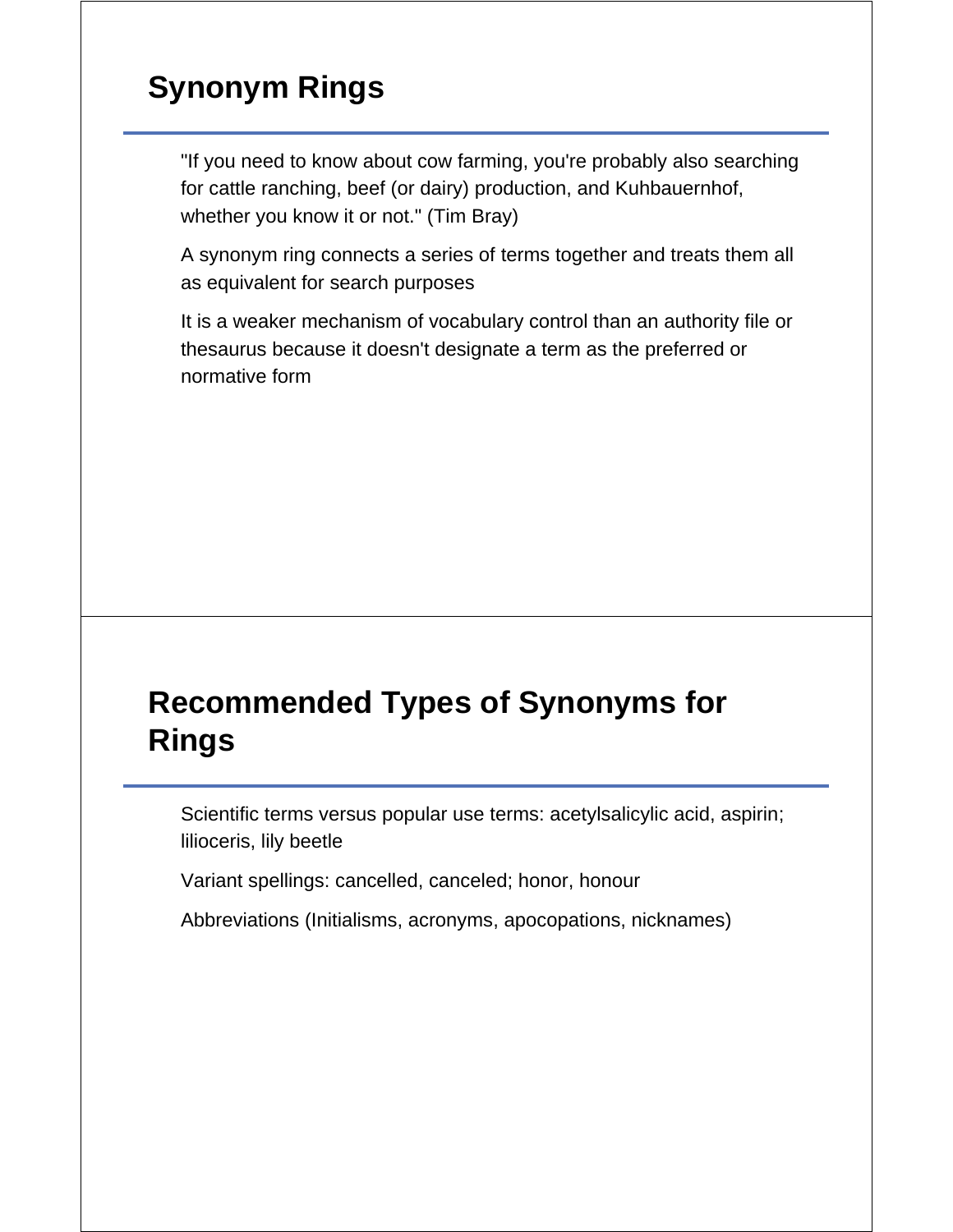# **Synonym Rings**

"If you need to know about cow farming, you're probably also searching for cattle ranching, beef (or dairy) production, and Kuhbauernhof, whether you know it or not." (Tim Bray)

A synonym ring connects a series of terms together and treats them all as equivalent for search purposes

It is a weaker mechanism of vocabulary control than an authority file or thesaurus because it doesn't designate a term as the preferred or normative form

# **Recommended Types of Synonyms for Rings**

Scientific terms versus popular use terms: acetylsalicylic acid, aspirin; lilioceris, lily beetle

Variant spellings: cancelled, canceled; honor, honour

Abbreviations (Initialisms, acronyms, apocopations, nicknames)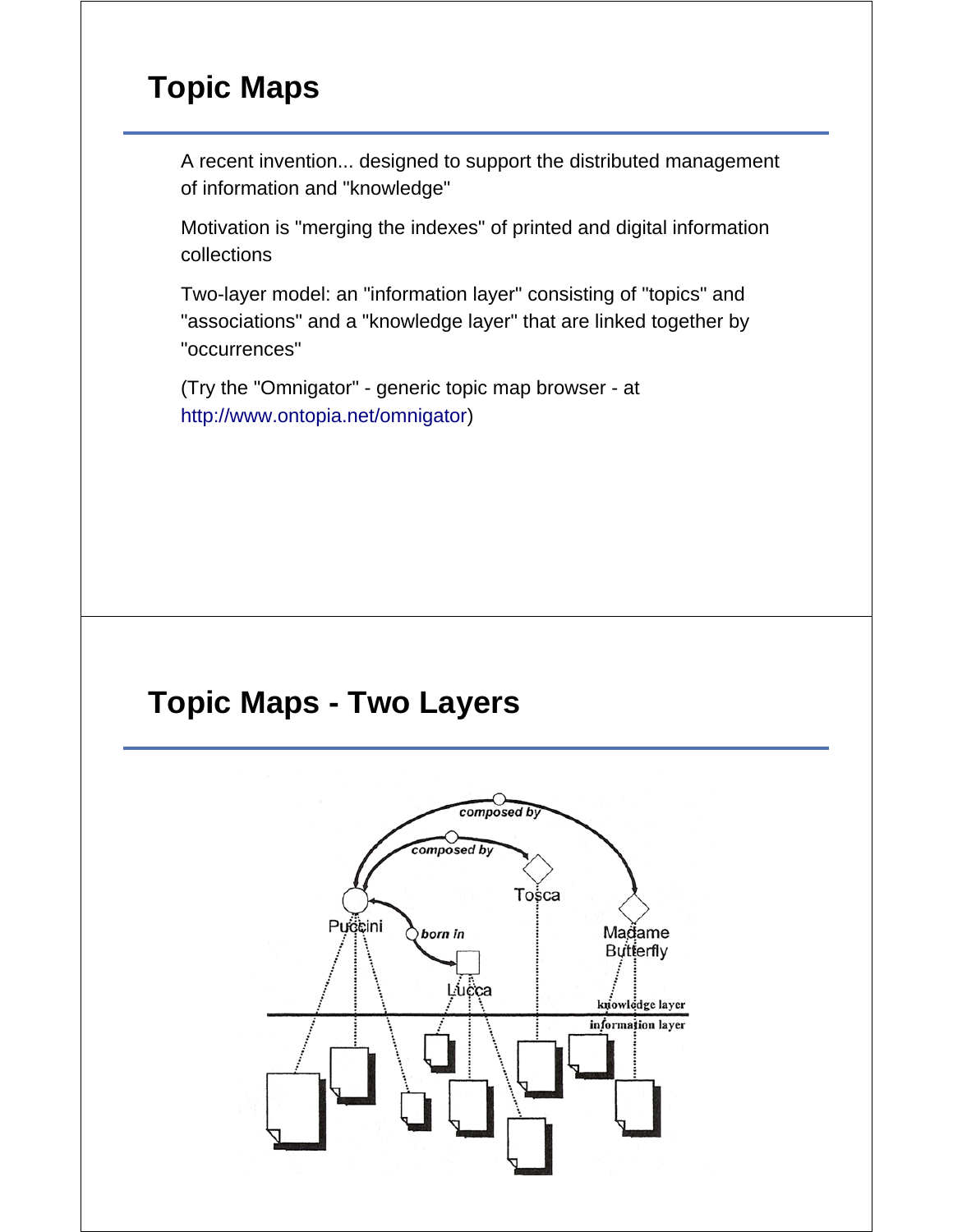# **Topic Maps**

A recent invention... designed to support the distributed management of information and "knowledge"

Motivation is "merging the indexes" of printed and digital information collections

Two-layer model: an "information layer" consisting of "topics" and "associations" and a "knowledge layer" that are linked together by "occurrences"

(Try the "Omnigator" - generic topic map browser - at http://www.ontopia.net/omnigator)

# **Topic Maps - Two Layers**